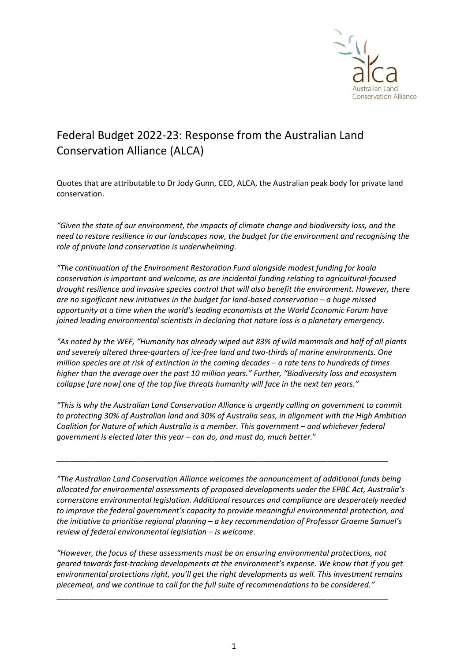

## Federal Budget 2022-23: Response from the Australian Land Conservation Alliance (ALCA)

Quotes that are attributable to Dr Jody Gunn, CEO, ALCA, the Australian peak body for private land conservation.

*"Given the state of our environment, the impacts of climate change and biodiversity loss, and the need to restore resilience in our landscapes now, the budget for the environment and recognising the role of private land conservation is underwhelming.*

*"The continuation of the Environment Restoration Fund alongside modest funding for koala conservation is important and welcome, as are incidental funding relating to agricultural-focused drought resilience and invasive species control that will also benefit the environment. However, there are no significant new initiatives in the budget for land-based conservation - a huge missed opportunity at a time when the world's leading economists at the World Economic Forum have joined leading environmental scientists in declaring that nature loss is a planetary emergency.*

*"As noted by the WEF, "Humanity has already wiped out 83% of wild mammals and half of all plants and severely altered three-quarters of ice-free land and two-thirds of marine environments. One million species are at risk of extinction in the coming decades – a rate tens to hundreds of times higher than the average over the past 10 million years." Further, "Biodiversity loss and ecosystem collapse [are now] one of the top five threats humanity will face in the next ten years."*

*"This is why the Australian Land Conservation Alliance is urgently calling on government to commit to protecting 30% of Australian land and 30% of Australia seas, in alignment with the High Ambition Coalition for Nature of which Australia is a member. This government – and whichever federal government is elected later this year – can do, and must do, much better.*"

\_\_\_\_\_\_\_\_\_\_\_\_\_\_\_\_\_\_\_\_\_\_\_\_\_\_\_\_\_\_\_\_\_\_\_\_\_\_\_\_\_\_\_\_\_\_\_\_\_\_\_\_\_\_\_\_\_\_\_\_\_\_\_\_\_\_\_\_\_\_\_\_\_\_\_\_\_

*"The Australian Land Conservation Alliance welcomes the announcement of additional funds being allocated for environmental assessments of proposed developments under the EPBC Act, Australia's cornerstone environmental legislation. Additional resources and compliance are desperately needed to improve the federal government's capacity to provide meaningful environmental protection, and the initiative to prioritise regional planning – a key recommendation of Professor Graeme Samuel's review of federal environmental legislation – is welcome.* 

*"However, the focus of these assessments must be on ensuring environmental protections, not geared towards fast-tracking developments at the environment's expense. We know that if you get environmental protections right, you'll get the right developments as well. This investment remains piecemeal, and we continue to call for the full suite of recommendations to be considered."*

\_\_\_\_\_\_\_\_\_\_\_\_\_\_\_\_\_\_\_\_\_\_\_\_\_\_\_\_\_\_\_\_\_\_\_\_\_\_\_\_\_\_\_\_\_\_\_\_\_\_\_\_\_\_\_\_\_\_\_\_\_\_\_\_\_\_\_\_\_\_\_\_\_\_\_\_\_